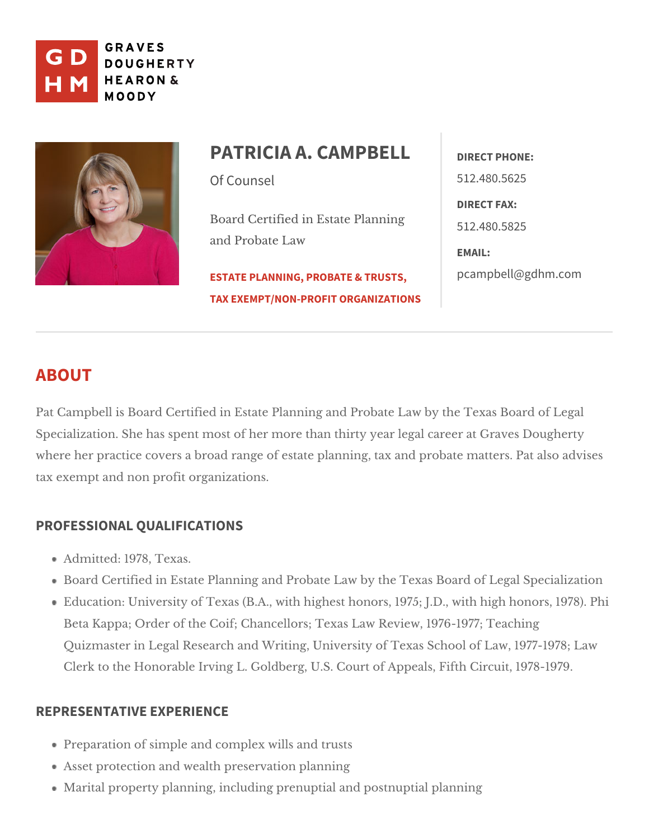

## PATRICIA A. CAMPREEFLAONE: Of Counsel Board Certified in Estate Planning 2.480.5825 and Probate Law [ESTATE PLANNING, PROB](https://www.gdhm.com/practice-areas/estate-planning-tax-probate/)ATE & TROBPS, I @ gdhm.com [TAX EXEMPT/NON-PROFIT](https://www.gdhm.com/practice-areas/tax-exemptnon-profit-organizations/) ORGANIZATIONS 512.480.5625 DIRECT FAX: EMAIL:

# ABOUT

Pat Campbell is Board Certified in Estate Planning and Probate Law by the T Specialization. She has spent most of her more than thirty year legal career where her practice covers a broad range of estate planning, tax and probate tax exempt and pnothit organizations.

### PROFESSIONAL QUALIFICATIONS

Admitted: 1978, Texas.

Board Certified in Estate Planning and Probate Law byLetghoel TSepxeacsiaBlozaartdoor Education: University of Texas (B.A., with highest honors, 1975; JPDhi, with Beta Kappa; Order of the Coif; Chancellors; Texas Law Review, 1976-197 Quizmaster in Legal Research and Writing, University of Texas School of Clerk to the Honorable Irving L. Goldberg, U.S. CouCritronii Appeals, 1979th

### REPRESENTATIVE EXPERIENCE

Preparation of simple and comamide  $x$  rwshtlss Asset protection and pweesel thation planning Marital property planning, including ppeorsuip uipatliaal nplanning